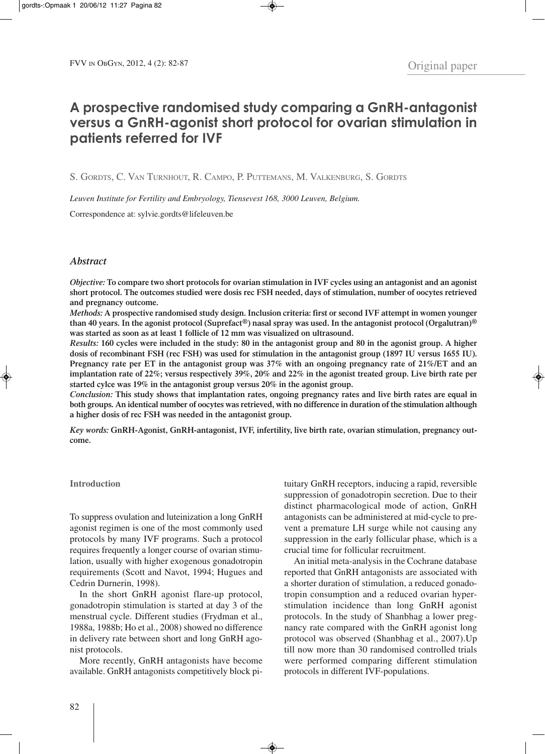# **A prospective randomised study comparing a GnRH-antagonist versus a GnRH-agonist short protocol for ovarian stimulation in patients referred for IVF**

S. GORDTS, C. VAN TURNHOUT, R. CAMPO, P. PUTTEMANS, M. VALKENBURG, S. GORDTS

*Leuven Institute for Fertility and Embryology, Tiensevest 168, 3000 Leuven, Belgium.*

Correspondence at: sylvie.gordts@lifeleuven.be

## *Abstract*

Objective: To compare two short protocols for ovarian stimulation in IVF cycles using an antagonist and an agonist short protocol. The outcomes studied were dosis rec FSH needed, days of stimulation, number of oocytes retrieved **and pregnancy outcome.**

*Methods:* **A prospective randomised study design. Inclusion criteria: first or second IVF attempt in women younger** than 40 years. In the agonist protocol (Suprefact<sup>®</sup>) nasal spray was used. In the antagonist protocol (Orgalutran)<sup>®</sup> **was started as soon as at least 1 follicle of 12 mm was visualized on ultrasound.**

Results: 160 cycles were included in the study: 80 in the antagonist group and 80 in the agonist group. A higher dosis of recombinant FSH (rec FSH) was used for stimulation in the antagonist group (1897 IU versus 1655 IU). Pregnancy rate per ET in the antagonist group was 37% with an ongoing pregnancy rate of 21%/ET and an implantation rate of 22%; versus respectively 39%, 20% and 22% in the agonist treated group. Live birth rate per **started cylce was 19% in the antagonist group versus 20% in the agonist group.**

Conclusion: This study shows that implantation rates, ongoing pregnancy rates and live birth rates are equal in both groups. An identical number of oocytes was retrieved, with no difference in duration of the stimulation although **a higher dosis of rec FSH was needed in the antagonist group.**

*Key words:* **GnRH-Agonist, GnRH-antagonist, IVF, infertility, live birth rate, ovarian stimulation, pregnancy outcome.**

# **Introduction**

To suppress ovulation and luteinization a long GnRH agonist regimen is one of the most commonly used protocols by many IVF programs. Such a protocol requires frequently a longer course of ovarian stimulation, usually with higher exogenous gonadotropin requirements (Scott and Navot, 1994; Hugues and Cedrin Durnerin, 1998).

In the short GnRH agonist flare-up protocol, gonadotropin stimulation is started at day 3 of the menstrual cycle. Different studies (Frydman et al., 1988a, 1988b; Ho et al., 2008) showed no difference in delivery rate between short and long GnRH agonist protocols.

More recently, GnRH antagonists have become available. GnRH antagonists competitively block pituitary GnRH receptors, inducing a rapid, reversible suppression of gonadotropin secretion. Due to their distinct pharmacological mode of action, GnRH antagonists can be administered at mid-cycle to prevent a premature LH surge while not causing any suppression in the early follicular phase, which is a crucial time for follicular recruitment.

An initial meta-analysis in the Cochrane database reported that GnRH antagonists are associated with a shorter duration of stimulation, a reduced gonadotropin consumption and a reduced ovarian hyperstimulation incidence than long GnRH agonist protocols. In the study of Shanbhag a lower pregnancy rate compared with the GnRH agonist long protocol was observed (Shanbhag et al., 2007).Up till now more than 30 randomised controlled trials were performed comparing different stimulation protocols in different IVF-populations.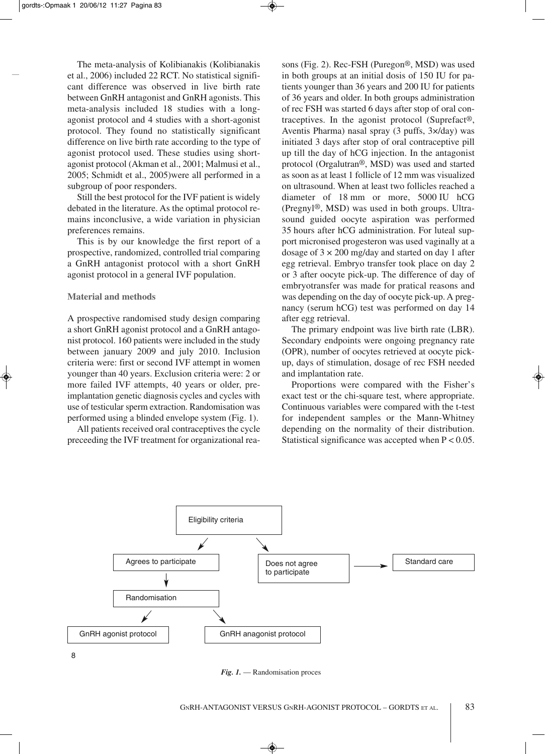The meta-analysis of Kolibianakis (Kolibianakis et al., 2006) included 22 RCT. No statistical significant difference was observed in live birth rate between GnRH antagonist and GnRH agonists. This meta-analysis included 18 studies with a longagonist protocol and 4 studies with a short-agonist protocol. They found no statistically significant difference on live birth rate according to the type of agonist protocol used. These studies using shortagonist protocol (Akman et al., 2001; Malmusi et al., 2005; Schmidt et al., 2005)were all performed in a subgroup of poor responders.

Still the best protocol for the IVF patient is widely debated in the literature. As the optimal protocol remains inconclusive, a wide variation in physician preferences remains.

This is by our knowledge the first report of a prospective, randomized, controlled trial comparing a GnRH antagonist protocol with a short GnRH agonist protocol in a general IVF population.

## **Material and methods**

A prospective randomised study design comparing a short GnRH agonist protocol and a GnRH antagonist protocol. 160 patients were included in the study between january 2009 and july 2010. Inclusion criteria were: first or second IVF attempt in women younger than 40 years. Exclusion criteria were: 2 or more failed IVF attempts, 40 years or older, preimplantation genetic diagnosis cycles and cycles with use of testicular sperm extraction. Randomisation was performed using a blinded envelope system (Fig. 1).

All patients received oral contraceptives the cycle preceeding the IVF treatment for organizational rea-

sons (Fig. 2). Rec-FSH (Puregon®, MSD) was used in both groups at an initial dosis of 150 IU for patients younger than 36 years and 200 IU for patients of 36 years and older. In both groups administration of rec FSH was started 6 days after stop of oral contraceptives. In the agonist protocol (Suprefact®, Aventis Pharma) nasal spray (3 puffs, 3×/day) was initiated 3 days after stop of oral contraceptive pill up till the day of hCG injection. In the antagonist protocol (Orgalutran®, MSD) was used and started as soon as at least 1 follicle of 12 mm was visualized on ultrasound. When at least two follicles reached a diameter of 18 mm or more, 5000 IU hCG (Pregnyl®, MSD) was used in both groups. Ultrasound guided oocyte aspiration was performed 35 hours after hCG administration. For luteal support micronised progesteron was used vaginally at a dosage of  $3 \times 200$  mg/day and started on day 1 after egg retrieval. Embryo transfer took place on day 2 or 3 after oocyte pick-up. The difference of day of embryotransfer was made for pratical reasons and was depending on the day of oocyte pick-up. A pregnancy (serum hCG) test was performed on day 14 after egg retrieval.

The primary endpoint was live birth rate (LBR). Secondary endpoints were ongoing pregnancy rate (OPR), number of oocytes retrieved at oocyte pickup, days of stimulation, dosage of rec FSH needed and implantation rate.

Proportions were compared with the Fisher's exact test or the chi-square test, where appropriate. Continuous variables were compared with the t-test for independent samples or the Mann-Whitney depending on the normality of their distribution. Statistical significance was accepted when  $P < 0.05$ .



*Fig. 1.* — Randomisation proces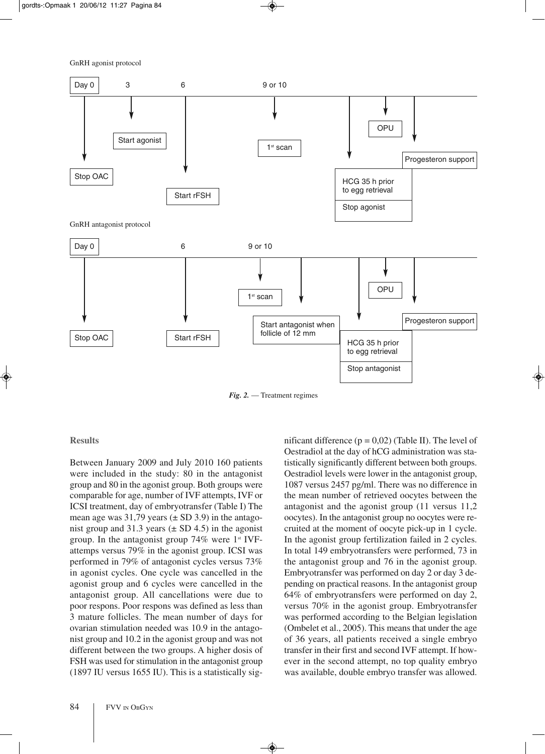GnRH agonist protocol



*Fig. 2.* — Treatment regimes

#### **Results**

Between January 2009 and July 2010 160 patients were included in the study: 80 in the antagonist group and 80 in the agonist group. Both groups were comparable for age, number of IVF attempts, IVF or ICSI treatment, day of embryotransfer (Table I) The mean age was  $31,79$  years ( $\pm$  SD 3.9) in the antagonist group and 31.3 years  $(\pm SD 4.5)$  in the agonist group. In the antagonist group  $74\%$  were 1<sup>st</sup> IVFattemps versus 79% in the agonist group. ICSI was performed in 79% of antagonist cycles versus 73% in agonist cycles. One cycle was cancelled in the agonist group and 6 cycles were cancelled in the antagonist group. All cancellations were due to poor respons. Poor respons was defined as less than 3 mature follicles. The mean number of days for ovarian stimulation needed was 10.9 in the antagonist group and 10.2 in the agonist group and was not different between the two groups. A higher dosis of FSH was used for stimulation in the antagonist group (1897 IU versus 1655 IU). This is a statistically significant difference  $(p = 0.02)$  (Table II). The level of Oestradiol at the day of hCG administration was statistically significantly different between both groups. Oestradiol levels were lower in the antagonist group, 1087 versus 2457 pg/ml. There was no difference in the mean number of retrieved oocytes between the antagonist and the agonist group (11 versus 11,2 oocytes). In the antagonist group no oocytes were recruited at the moment of oocyte pick-up in 1 cycle. In the agonist group fertilization failed in 2 cycles. In total 149 embryotransfers were performed, 73 in the antagonist group and 76 in the agonist group. Embryotransfer was performed on day 2 or day 3 depending on practical reasons. In the antagonist group 64% of embryotransfers were performed on day 2, versus 70% in the agonist group. Embryotransfer was performed according to the Belgian legislation (Ombelet et al., 2005). This means that under the age of 36 years, all patients received a single embryo transfer in their first and second IVF attempt. If however in the second attempt, no top quality embryo was available, double embryo transfer was allowed.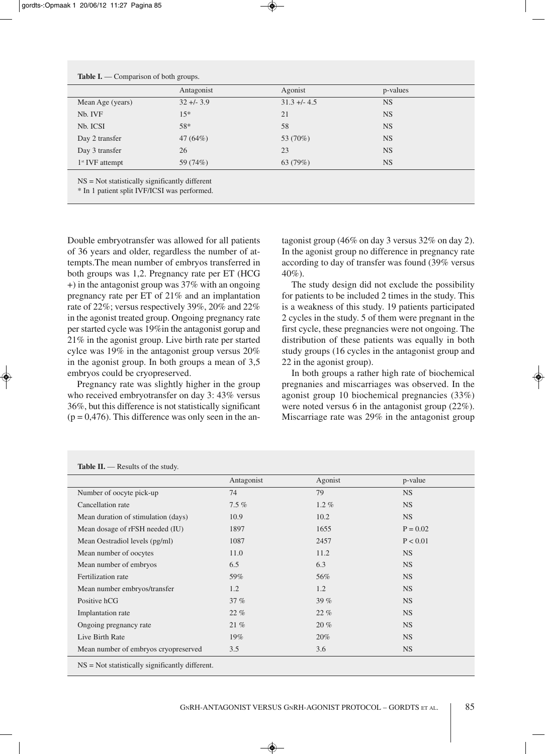| <b>Table I.</b> — Comparison of both groups.                                                     |             |              |           |  |  |
|--------------------------------------------------------------------------------------------------|-------------|--------------|-----------|--|--|
|                                                                                                  | Antagonist  | Agonist      | p-values  |  |  |
| Mean Age (years)                                                                                 | $32 + 3.9$  | $31.3 + 4.5$ | <b>NS</b> |  |  |
| Nb. IVF                                                                                          | $15*$       | 21           | <b>NS</b> |  |  |
| Nb. ICSI                                                                                         | 58*         | 58           | <b>NS</b> |  |  |
| Day 2 transfer                                                                                   | 47 $(64\%)$ | 53 (70%)     | <b>NS</b> |  |  |
| Day 3 transfer                                                                                   | 26          | 23           | <b>NS</b> |  |  |
| 1 <sup>st</sup> IVF attempt                                                                      | 59 (74%)    | 63 $(79%)$   | <b>NS</b> |  |  |
| $NS = Not$ statistically significantly different<br>* In 1 patient split IVF/ICSI was performed. |             |              |           |  |  |

Double embryotransfer was allowed for all patients of 36 years and older, regardless the number of attempts.The mean number of embryos transferred in both groups was 1,2. Pregnancy rate per ET (HCG  $+$ ) in the antagonist group was 37% with an ongoing pregnancy rate per ET of 21% and an implantation rate of 22%; versus respectively 39%, 20% and 22% in the agonist treated group. Ongoing pregnancy rate per started cycle was 19%in the antagonist gorup and 21% in the agonist group. Live birth rate per started cylce was 19% in the antagonist group versus 20% in the agonist group. In both groups a mean of 3,5 embryos could be cryopreserved.

Pregnancy rate was slightly higher in the group who received embryotransfer on day 3: 43% versus 36%, but this difference is not statistically significant  $(p = 0.476)$ . This difference was only seen in the antagonist group (46% on day 3 versus 32% on day 2). In the agonist group no difference in pregnancy rate according to day of transfer was found (39% versus 40%).

The study design did not exclude the possibility for patients to be included 2 times in the study. This is a weakness of this study. 19 patients participated 2 cycles in the study. 5 of them were pregnant in the first cycle, these pregnancies were not ongoing. The distribution of these patients was equally in both study groups (16 cycles in the antagonist group and 22 in the agonist group).

In both groups a rather high rate of biochemical pregnanies and miscarriages was observed. In the agonist group 10 biochemical pregnancies (33%) were noted versus 6 in the antagonist group (22%). Miscarriage rate was 29% in the antagonist group

|                                      | Antagonist | Agonist | p-value    |
|--------------------------------------|------------|---------|------------|
| Number of oocyte pick-up             | 74         | 79      | <b>NS</b>  |
| Cancellation rate                    | $7.5\%$    | $1.2\%$ | <b>NS</b>  |
| Mean duration of stimulation (days)  | 10.9       | 10.2    | <b>NS</b>  |
| Mean dosage of rFSH needed (IU)      | 1897       | 1655    | $P = 0.02$ |
| Mean Oestradiol levels (pg/ml)       | 1087       | 2457    | P < 0.01   |
| Mean number of oocytes               | 11.0       | 11.2    | <b>NS</b>  |
| Mean number of embryos               | 6.5        | 6.3     | <b>NS</b>  |
| Fertilization rate                   | 59%        | 56%     | <b>NS</b>  |
| Mean number embryos/transfer         | 1.2        | 1.2     | <b>NS</b>  |
| Positive hCG                         | 37%        | 39%     | <b>NS</b>  |
| Implantation rate                    | 22%        | 22%     | <b>NS</b>  |
| Ongoing pregnancy rate               | 21%        | $20\%$  | <b>NS</b>  |
| Live Birth Rate                      | 19%        | 20%     | <b>NS</b>  |
| Mean number of embryos cryopreserved | 3.5        | 3.6     | <b>NS</b>  |

**Table II.** — Results of the study.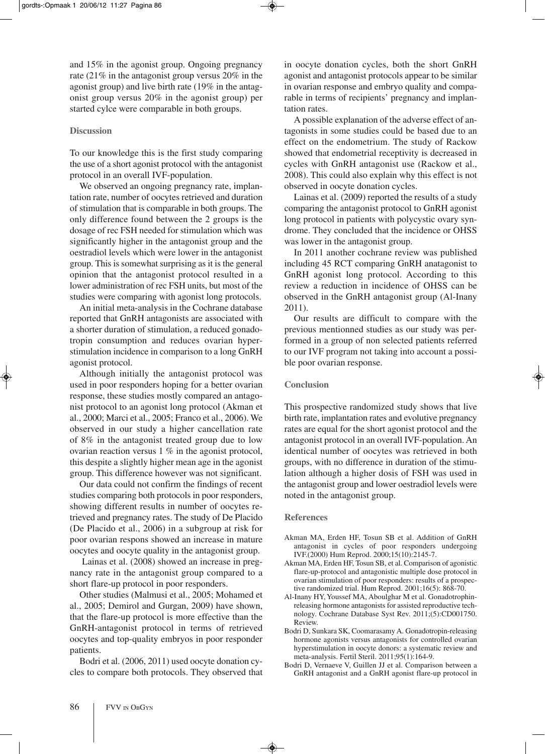and 15% in the agonist group. Ongoing pregnancy rate (21% in the antagonist group versus 20% in the agonist group) and live birth rate (19% in the antagonist group versus 20% in the agonist group) per started cylce were comparable in both groups.

## **Discussion**

To our knowledge this is the first study comparing the use of a short agonist protocol with the antagonist protocol in an overall IVF-population.

We observed an ongoing pregnancy rate, implantation rate, number of oocytes retrieved and duration of stimulation that is comparable in both groups. The only difference found between the 2 groups is the dosage of rec FSH needed for stimulation which was significantly higher in the antagonist group and the oestradiol levels which were lower in the antagonist group. This is somewhat surprising as it is the general opinion that the antagonist protocol resulted in a lower administration of rec FSH units, but most of the studies were comparing with agonist long protocols.

An initial meta-analysis in the Cochrane database reported that GnRH antagonists are associated with a shorter duration of stimulation, a reduced gonadotropin consumption and reduces ovarian hyperstimulation incidence in comparison to a long GnRH agonist protocol.

Although initially the antagonist protocol was used in poor responders hoping for a better ovarian response, these studies mostly compared an antagonist protocol to an agonist long protocol (Akman et al., 2000; Marci et al., 2005; Franco et al., 2006). We observed in our study a higher cancellation rate of 8% in the antagonist treated group due to low ovarian reaction versus 1 % in the agonist protocol, this despite a slightly higher mean age in the agonist group. This difference however was not significant.

Our data could not confirm the findings of recent studies comparing both protocols in poor responders, showing different results in number of oocytes retrieved and pregnancy rates. The study of De Placido (De Placido et al., 2006) in a subgroup at risk for poor ovarian respons showed an increase in mature oocytes and oocyte quality in the antagonist group.

Lainas et al. (2008) showed an increase in pregnancy rate in the antagonist group compared to a short flare-up protocol in poor responders.

Other studies (Malmusi et al., 2005; Mohamed et al., 2005; Demirol and Gurgan, 2009) have shown, that the flare-up protocol is more effective than the GnRH-antagonist protocol in terms of retrieved oocytes and top-quality embryos in poor responder patients.

Bodri et al. (2006, 2011) used oocyte donation cycles to compare both protocols. They observed that in oocyte donation cycles, both the short GnRH agonist and antagonist protocols appear to be similar in ovarian response and embryo quality and comparable in terms of recipients' pregnancy and implantation rates.

A possible explanation of the adverse effect of antagonists in some studies could be based due to an effect on the endometrium. The study of Rackow showed that endometrial receptivity is decreased in cycles with GnRH antagonist use (Rackow et al., 2008). This could also explain why this effect is not observed in oocyte donation cycles.

Lainas et al. (2009) reported the results of a study comparing the antagonist protocol to GnRH agonist long protocol in patients with polycystic ovary syndrome. They concluded that the incidence or OHSS was lower in the antagonist group.

In 2011 another cochrane review was published including 45 RCT comparing GnRH anatagonist to GnRH agonist long protocol. According to this review a reduction in incidence of OHSS can be observed in the GnRH antagonist group (Al-Inany 2011).

Our results are difficult to compare with the previous mentionned studies as our study was performed in a group of non selected patients referred to our IVF program not taking into account a possible poor ovarian response.

## **Conclusion**

This prospective randomized study shows that live birth rate, implantation rates and evolutive pregnancy rates are equal for the short agonist protocol and the antagonist protocol in an overall IVF-population. An identical number of oocytes was retrieved in both groups, with no difference in duration of the stimulation although a higher dosis of FSH was used in the antagonist group and lower oestradiol levels were noted in the antagonist group.

#### **References**

- Akman MA, Erden HF, Tosun SB et al. Addition of GnRH antagonist in cycles of poor responders undergoing IVF.(2000) Hum Reprod. 2000;15(10):2145-7.
- Akman MA, Erden HF, Tosun SB, et al. Comparison of agonistic flare-up-protocol and antagonistic multiple dose protocol in ovarian stimulation of poor responders: results of a prospective randomized trial. Hum Reprod. 2001;16(5): 868-70.
- Al-Inany HY, Youssef MA, Aboulghar M et al. Gonadotrophinreleasing hormone antagonists for assisted reproductive technology. Cochrane Database Syst Rev. 2011;(5):CD001750. Review.
- Bodri D, Sunkara SK, Coomarasamy A. Gonadotropin-releasing hormone agonists versus antagonists for controlled ovarian hyperstimulation in oocyte donors: a systematic review and meta-analysis. Fertil Steril. 2011;95(1):164-9.
- Bodri D, Vernaeve V, Guillen JJ et al. Comparison between a GnRH antagonist and a GnRH agonist flare-up protocol in